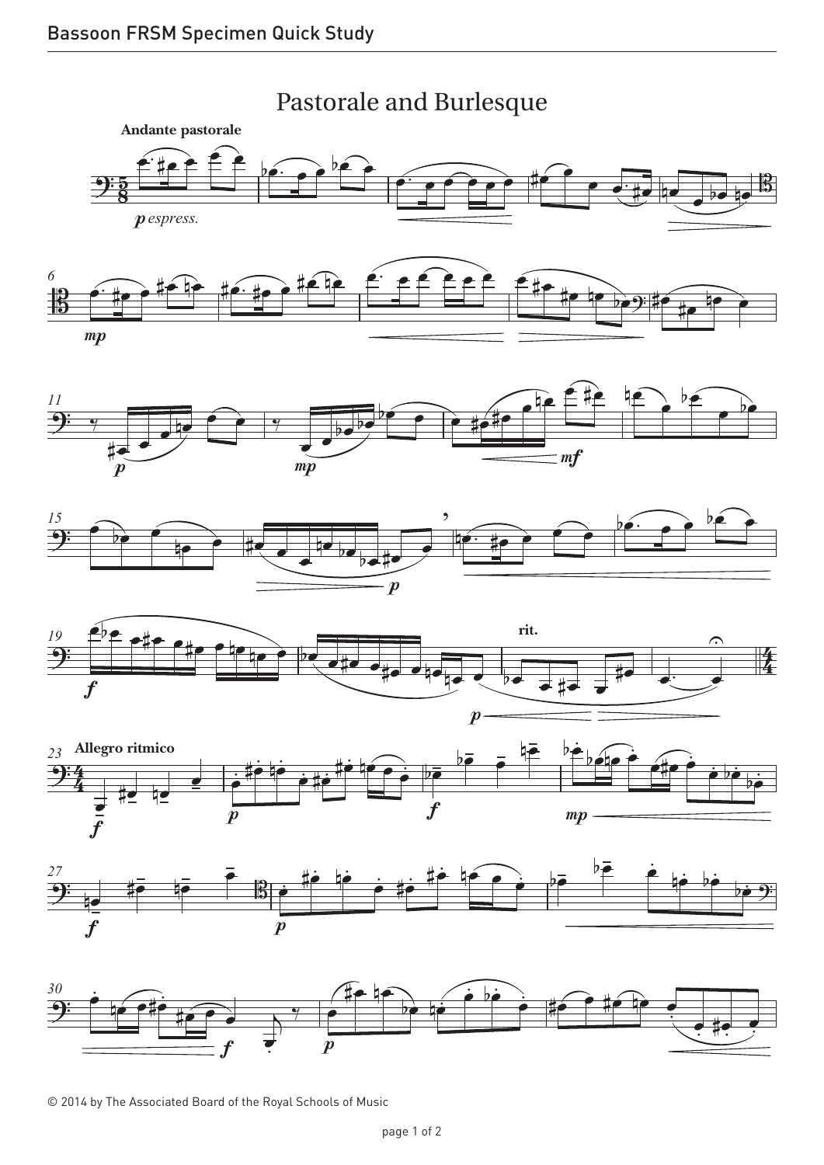